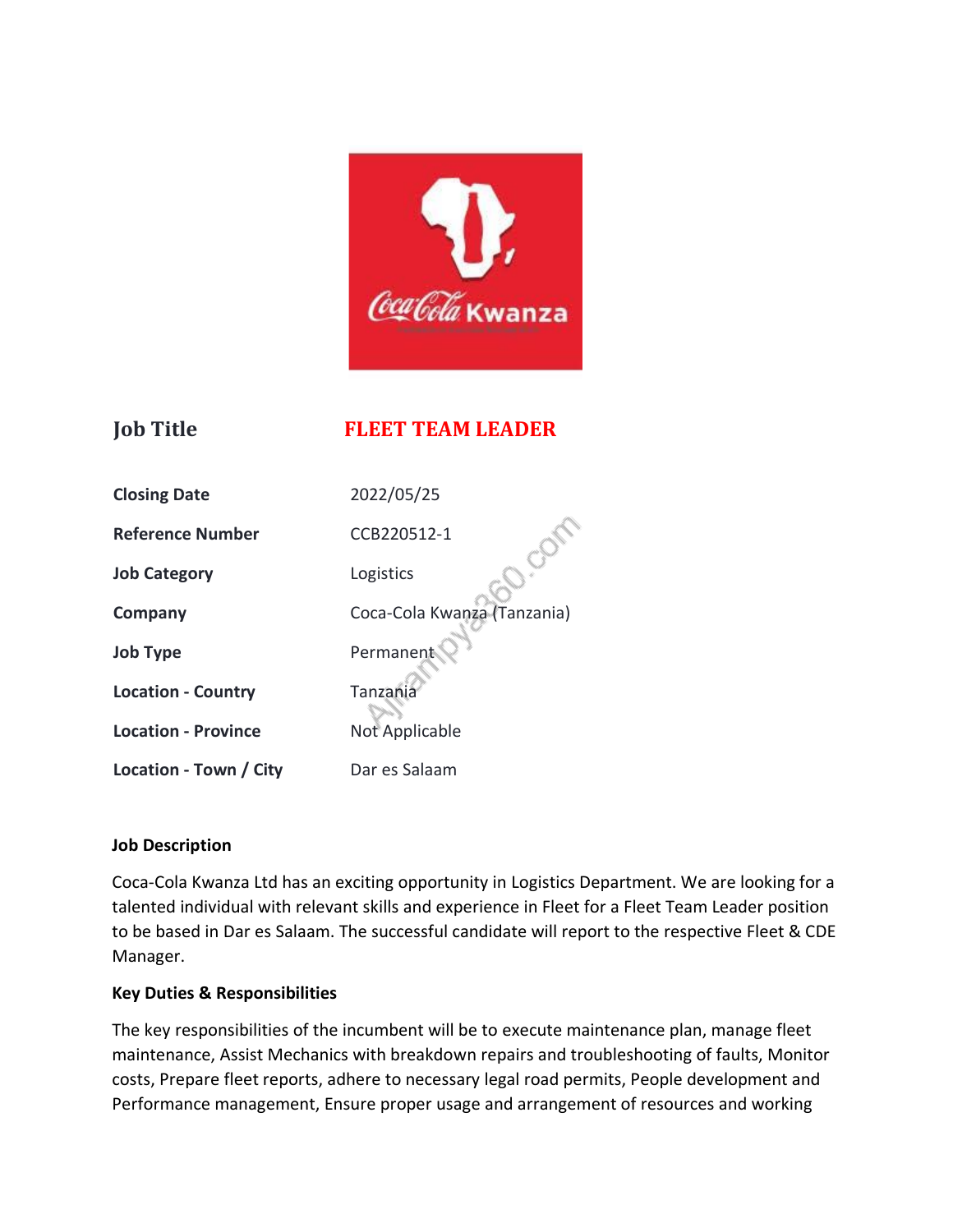

## **Job Title FLEET TEAM LEADER**

| <b>Closing Date</b>        | 2022/05/25                  |
|----------------------------|-----------------------------|
| <b>Reference Number</b>    | CCB220512-1                 |
| <b>Job Category</b>        | Logistics                   |
| Company                    | Coca-Cola Kwanza (Tanzania) |
| <b>Job Type</b>            | Permanent                   |
| <b>Location - Country</b>  | Tanzania                    |
| <b>Location - Province</b> | Not Applicable              |
| Location - Town / City     | Dar es Salaam               |

#### **Job Description**

Coca-Cola Kwanza Ltd has an exciting opportunity in Logistics Department. We are looking for a talented individual with relevant skills and experience in Fleet for a Fleet Team Leader position to be based in Dar es Salaam. The successful candidate will report to the respective Fleet & CDE Manager.

#### **Key Duties & Responsibilities**

The key responsibilities of the incumbent will be to execute maintenance plan, manage fleet maintenance, Assist Mechanics with breakdown repairs and troubleshooting of faults, Monitor costs, Prepare fleet reports, adhere to necessary legal road permits, People development and Performance management, Ensure proper usage and arrangement of resources and working